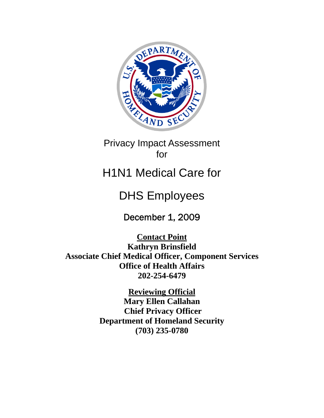

## Privacy Impact Assessment for

# H1N1 Medical Care for

# DHS Employees

December 1, 2009

**Contact Point Kathryn Brinsfield Associate Chief Medical Officer, Component Services Office of Health Affairs 202-254-6479** 

> **Reviewing Official Mary Ellen Callahan Chief Privacy Officer Department of Homeland Security (703) 235-0780**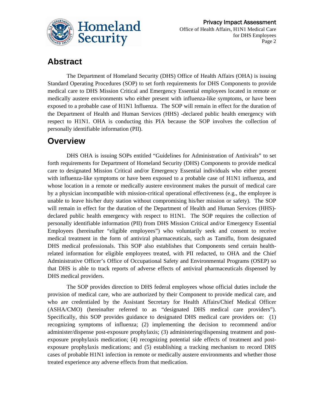

### **Abstract**

The Department of Homeland Security (DHS) Office of Health Affairs (OHA) is issuing Standard Operating Procedures (SOP) to set forth requirements for DHS Components to provide medical care to DHS Mission Critical and Emergency Essential employees located in remote or medically austere environments who either present with influenza-like symptoms, or have been exposed to a probable case of H1N1 Influenza. The SOP will remain in effect for the duration of the Department of Health and Human Services (HHS) -declared public health emergency with respect to H1N1. OHA is conducting this PIA because the SOP involves the collection of personally identifiable information (PII).

### **Overview**

DHS OHA is issuing SOPs entitled "Guidelines for Administration of Antivirals" to set forth requirements for Department of Homeland Security (DHS) Components to provide medical care to designated Mission Critical and/or Emergency Essential individuals who either present with influenza-like symptoms or have been exposed to a probable case of H1N1 influenza, and whose location in a remote or medically austere environment makes the pursuit of medical care by a physician incompatible with mission-critical operational effectiveness (e.g., the employee is unable to leave his/her duty station without compromising his/her mission or safety). The SOP will remain in effect for the duration of the Department of Health and Human Services (HHS) declared public health emergency with respect to H1N1. The SOP requires the collection of personally identifiable information (PII) from DHS Mission Critical and/or Emergency Essential Employees (hereinafter "eligible employees") who voluntarily seek and consent to receive medical treatment in the form of antiviral pharmaceuticals, such as Tamiflu, from designated DHS medical professionals. This SOP also establishes that Components send certain healthrelated information for eligible employees treated, with PII redacted, to OHA and the Chief Administrative Officer's Office of Occupational Safety and Environmental Programs (OSEP) so that DHS is able to track reports of adverse effects of antiviral pharmaceuticals dispensed by DHS medical providers.

The SOP provides direction to DHS federal employees whose official duties include the provision of medical care, who are authorized by their Component to provide medical care, and who are credentialed by the Assistant Secretary for Health Affairs/Chief Medical Officer (ASHA/CMO) (hereinafter referred to as "designated DHS medical care providers"). Specifically, this SOP provides guidance to designated DHS medical care providers on: (1) recognizing symptoms of influenza; (2) implementing the decision to recommend and/or administer/dispense post-exposure prophylaxis; (3) administering/dispensing treatment and postexposure prophylaxis medication; (4) recognizing potential side effects of treatment and postexposure prophylaxis medications; and (5) establishing a tracking mechanism to record DHS cases of probable H1N1 infection in remote or medically austere environments and whether those treated experience any adverse effects from that medication.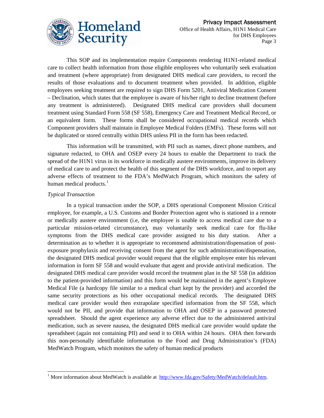

This SOP and its implementation require Components rendering H1N1-related medical care to collect health information from those eligible employees who voluntarily seek evaluation and treatment (where appropriate) from designated DHS medical care providers, to record the results of those evaluations and to document treatment when provided. In addition, eligible employees seeking treatment are required to sign DHS Form 5201, Antiviral Medication Consent – Declination, which states that the employee is aware of his/her right to decline treatment (before any treatment is administered). Designated DHS medical care providers shall document treatment using Standard Form 558 (SF 558), Emergency Care and Treatment Medical Record, or an equivalent form. These forms shall be considered occupational medical records which Component providers shall maintain in Employee Medical Folders (EMFs). These forms will not be duplicated or stored centrally within DHS unless PII in the form has been redacted.

This information will be transmitted, with PII such as names, direct phone numbers, and signature redacted, to OHA and OSEP every 24 hours to enable the Department to track the spread of the H1N1 virus in its workforce in medically austere environments, improve its delivery of medical care to and protect the health of this segment of the DHS workforce, and to report any adverse effects of treatment to the FDA's MedWatch Program, which monitors the safety of human medical products. $<sup>1</sup>$  $<sup>1</sup>$  $<sup>1</sup>$ </sup>

#### *Typical Transaction*

-

In a typical transaction under the SOP, a DHS operational Component Mission Critical employee, for example, a U.S. Customs and Border Protection agent who is stationed in a remote or medically austere environment (i.e, the employee is unable to access medical care due to a particular mission-related circumstance), may voluntarily seek medical care for flu-like symptoms from the DHS medical care provider assigned to his duty station. After a determination as to whether it is appropriate to recommend administration/dispensation of postexposure prophylaxis and receiving consent from the agent for such administration/dispensation, the designated DHS medical provider would request that the eligible employee enter his relevant information in form SF 558 and would evaluate that agent and provide antiviral medication. The designated DHS medical care provider would record the treatment plan in the SF 558 (in addition to the patient-provided information) and this form would be maintained in the agent's Employee Medical File (a hardcopy file similar to a medical chart kept by the provider) and accorded the same security protections as his other occupational medical records. The designated DHS medical care provider would then extrapolate specified information from the SF 558, which would not be PII, and provide that information to OHA and OSEP in a password protected spreadsheet. Should the agent experience any adverse effect due to the administered antiviral medication, such as severe nausea, the designated DHS medical care provider would update the spreadsheet (again not containing PII) and send it to OHA within 24 hours. OHA then forwards this non-personally identifiable information to the Food and Drug Administration's (FDA) MedWatch Program, which monitors the safety of human medical products

<span id="page-2-0"></span><sup>&</sup>lt;sup>1</sup> More information about MedWatch is available at [http://www.fda.gov/Safety/MedWatch/default.htm.](http://www.fda.gov/Safety/MedWatch/default.htm)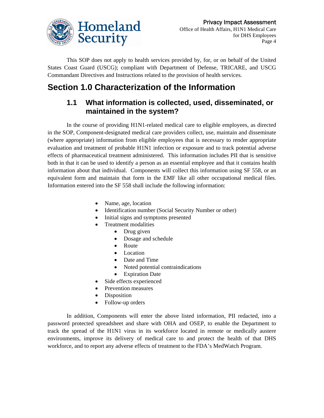

This SOP does not apply to health services provided by, for, or on behalf of the United States Coast Guard (USCG); compliant with Department of Defense, TRICARE, and USCG Commandant Directives and Instructions related to the provision of health services.

### **Section 1.0 Characterization of the Information**

#### **1.1 What information is collected, used, disseminated, or maintained in the system?**

In the course of providing H1N1-related medical care to eligible employees, as directed in the SOP, Component-designated medical care providers collect, use, maintain and disseminate (where appropriate) information from eligible employees that is necessary to render appropriate evaluation and treatment of probable H1N1 infection or exposure and to track potential adverse effects of pharmaceutical treatment administered. This information includes PII that is sensitive both in that it can be used to identify a person as an essential employee and that it contains health information about that individual. Components will collect this information using SF 558, or an equivalent form and maintain that form in the EMF like all other occupational medical files. Information entered into the SF 558 shall include the following information:

- Name, age, location
- Identification number (Social Security Number or other)
- Initial signs and symptoms presented
- Treatment modalities
	- Drug given
	- Dosage and schedule
	- Route
	- Location
	- Date and Time
	- Noted potential contraindications
	- Expiration Date
- Side effects experienced
- Prevention measures
- Disposition
- Follow-up orders

In addition, Components will enter the above listed information, PII redacted, into a password protected spreadsheet and share with OHA and OSEP, to enable the Department to track the spread of the H1N1 virus in its workforce located in remote or medically austere environments, improve its delivery of medical care to and protect the health of that DHS workforce, and to report any adverse effects of treatment to the FDA's MedWatch Program.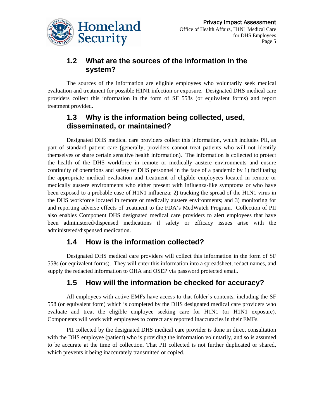

#### **1.2 What are the sources of the information in the system?**

The sources of the information are eligible employees who voluntarily seek medical evaluation and treatment for possible H1N1 infection or exposure. Designated DHS medical care providers collect this information in the form of SF 558s (or equivalent forms) and report treatment provided.

#### **1.3 Why is the information being collected, used, disseminated, or maintained?**

Designated DHS medical care providers collect this information, which includes PII, as part of standard patient care (generally, providers cannot treat patients who will not identify themselves or share certain sensitive health information). The information is collected to protect the health of the DHS workforce in remote or medically austere environments and ensure continuity of operations and safety of DHS personnel in the face of a pandemic by 1) facilitating the appropriate medical evaluation and treatment of eligible employees located in remote or medically austere environments who either present with influenza-like symptoms or who have been exposed to a probable case of H1N1 influenza; 2) tracking the spread of the H1N1 virus in the DHS workforce located in remote or medically austere environments; and 3) monitoring for and reporting adverse effects of treatment to the FDA's MedWatch Program. Collection of PII also enables Component DHS designated medical care providers to alert employees that have been administered/dispensed medications if safety or efficacy issues arise with the administered/dispensed medication.

#### **1.4 How is the information collected?**

Designated DHS medical care providers will collect this information in the form of SF 558s (or equivalent forms). They will enter this information into a spreadsheet, redact names, and supply the redacted information to OHA and OSEP via password protected email.

### **1.5 How will the information be checked for accuracy?**

All employees with active EMFs have access to that folder's contents, including the SF 558 (or equivalent form) which is completed by the DHS designated medical care providers who evaluate and treat the eligible employee seeking care for H1N1 (or H1N1 exposure). Components will work with employees to correct any reported inaccuracies in their EMFs.

PII collected by the designated DHS medical care provider is done in direct consultation with the DHS employee (patient) who is providing the information voluntarily, and so is assumed to be accurate at the time of collection. That PII collected is not further duplicated or shared, which prevents it being inaccurately transmitted or copied.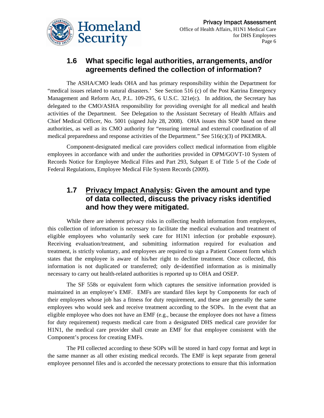

#### **1.6 What specific legal authorities, arrangements, and/or agreements defined the collection of information?**

The ASHA/CMO leads OHA and has primary responsibility within the Department for "medical issues related to natural disasters.' See Section 516 (c) of the Post Katrina Emergency Management and Reform Act, P.L. 109-295, 6 U.S.C. 321e(c). In addition, the Secretary has delegated to the CMO/ASHA responsibility for providing oversight for all medical and health activities of the Department. See Delegation to the Assistant Secretary of Health Affairs and Chief Medical Officer, No. 5001 (signed July 28, 2008). OHA issues this SOP based on these authorities, as well as its CMO authority for "ensuring internal and external coordination of all medical preparedness and response activities of the Department." See  $516(c)(3)$  of PKEMRA.

Component-designated medical care providers collect medical information from eligible employees in accordance with and under the authorities provided in OPM/GOVT-10 System of Records Notice for Employee Medical Files and Part 293, Subpart E of Title 5 of the Code of Federal Regulations, Employee Medical File System Records (2009).

#### **1.7 Privacy Impact Analysis: Given the amount and type of data collected, discuss the privacy risks identified and how they were mitigated.**

While there are inherent privacy risks in collecting health information from employees, this collection of information is necessary to facilitate the medical evaluation and treatment of eligible employees who voluntarily seek care for H1N1 infection (or probable exposure). Receiving evaluation/treatment, and submitting information required for evaluation and treatment, is strictly voluntary, and employees are required to sign a Patient Consent form which states that the employee is aware of his/her right to decline treatment. Once collected, this information is not duplicated or transferred; only de-identified information as is minimally necessary to carry out health-related authorities is reported up to OHA and OSEP.

The SF 558s or equivalent form which captures the sensitive information provided is maintained in an employee's EMF. EMFs are standard files kept by Components for each of their employees whose job has a fitness for duty requirement, and these are generally the same employees who would seek and receive treatment according to the SOPs. In the event that an eligible employee who does not have an EMF (e.g., because the employee does not have a fitness for duty requirement) requests medical care from a designated DHS medical care provider for H1N1, the medical care provider shall create an EMF for that employee consistent with the Component's process for creating EMFs.

The PII collected according to these SOPs will be stored in hard copy format and kept in the same manner as all other existing medical records. The EMF is kept separate from general employee personnel files and is accorded the necessary protections to ensure that this information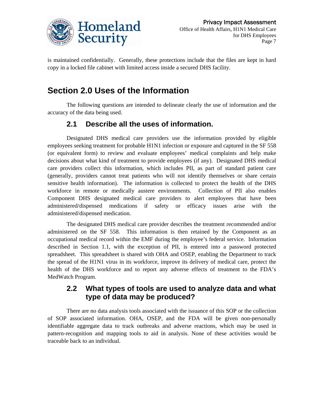

is maintained confidentially. Generally, these protections include that the files are kept in hard copy in a locked file cabinet with limited access inside a secured DHS facility.

### **Section 2.0 Uses of the Information**

The following questions are intended to delineate clearly the use of information and the accuracy of the data being used.

#### **2.1 Describe all the uses of information.**

Designated DHS medical care providers use the information provided by eligible employees seeking treatment for probable H1N1 infection or exposure and captured in the SF 558 (or equivalent form) to review and evaluate employees' medical complaints and help make decisions about what kind of treatment to provide employees (if any). Designated DHS medical care providers collect this information, which includes PII, as part of standard patient care (generally, providers cannot treat patients who will not identify themselves or share certain sensitive health information). The information is collected to protect the health of the DHS workforce in remote or medically austere environments. Collection of PII also enables Component DHS designated medical care providers to alert employees that have been administered/dispensed medications if safety or efficacy issues arise with the administered/dispensed medication.

The designated DHS medical care provider describes the treatment recommended and/or administered on the SF 558. This information is then retained by the Component as an occupational medical record within the EMF during the employee's federal service. Information described in Section 1.1, with the exception of PII, is entered into a password protected spreadsheet. This spreadsheet is shared with OHA and OSEP, enabling the Department to track the spread of the H1N1 virus in its workforce, improve its delivery of medical care, protect the health of the DHS workforce and to report any adverse effects of treatment to the FDA's MedWatch Program.

#### **2.2 What types of tools are used to analyze data and what type of data may be produced?**

There are no data analysis tools associated with the issuance of this SOP or the collection of SOP associated information. OHA, OSEP, and the FDA will be given non-personally identifiable aggregate data to track outbreaks and adverse reactions, which may be used in pattern-recognition and mapping tools to aid in analysis. None of these activities would be traceable back to an individual.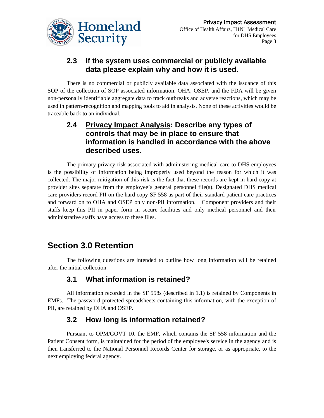

#### **2.3 If the system uses commercial or publicly available data please explain why and how it is used.**

There is no commercial or publicly available data associated with the issuance of this SOP of the collection of SOP associated information. OHA, OSEP, and the FDA will be given non-personally identifiable aggregate data to track outbreaks and adverse reactions, which may be used in pattern-recognition and mapping tools to aid in analysis. None of these activities would be traceable back to an individual.

#### **2.4 Privacy Impact Analysis: Describe any types of controls that may be in place to ensure that information is handled in accordance with the above described uses.**

The primary privacy risk associated with administering medical care to DHS employees is the possibility of information being improperly used beyond the reason for which it was collected. The major mitigation of this risk is the fact that these records are kept in hard copy at provider sites separate from the employee's general personnel file(s). Designated DHS medical care providers record PII on the hard copy SF 558 as part of their standard patient care practices and forward on to OHA and OSEP only non-PII information. Component providers and their staffs keep this PII in paper form in secure facilities and only medical personnel and their administrative staffs have access to these files.

### **Section 3.0 Retention**

The following questions are intended to outline how long information will be retained after the initial collection.

#### **3.1 What information is retained?**

All information recorded in the SF 558s (described in 1.1) is retained by Components in EMFs. The password protected spreadsheets containing this information, with the exception of PII, are retained by OHA and OSEP.

### **3.2 How long is information retained?**

Pursuant to OPM/GOVT 10, the EMF, which contains the SF 558 information and the Patient Consent form, is maintained for the period of the employee's service in the agency and is then transferred to the National Personnel Records Center for storage, or as appropriate, to the next employing federal agency.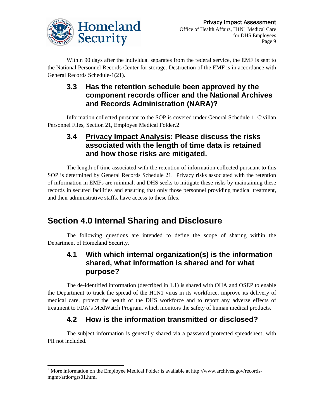

Within 90 days after the individual separates from the federal service, the EMF is sent to the National Personnel Records Center for storage. Destruction of the EMF is in accordance with General Records Schedule-1(21).

#### **3.3 Has the retention schedule been approved by the component records officer and the National Archives and Records Administration (NARA)?**

Information collected pursuant to the SOP is covered under General Schedule 1, Civilian Personnel Files, Section 21, Employee Medical Folder.[2](#page-8-0)

#### **3.4 Privacy Impact Analysis: Please discuss the risks associated with the length of time data is retained and how those risks are mitigated.**

The length of time associated with the retention of information collected pursuant to this SOP is determined by General Records Schedule 21. Privacy risks associated with the retention of information in EMFs are minimal, and DHS seeks to mitigate these risks by maintaining these records in secured facilities and ensuring that only those personnel providing medical treatment, and their administrative staffs, have access to these files.

### **Section 4.0 Internal Sharing and Disclosure**

The following questions are intended to define the scope of sharing within the Department of Homeland Security.

#### **4.1 With which internal organization(s) is the information shared, what information is shared and for what purpose?**

The de-identified information (described in 1.1) is shared with OHA and OSEP to enable the Department to track the spread of the H1N1 virus in its workforce, improve its delivery of medical care, protect the health of the DHS workforce and to report any adverse effects of treatment to FDA's MedWatch Program, which monitors the safety of human medical products.

### **4.2 How is the information transmitted or disclosed?**

The subject information is generally shared via a password protected spreadsheet, with PII not included.

 $\overline{a}$ 

<span id="page-8-0"></span><sup>&</sup>lt;sup>2</sup> More information on the Employee Medical Folder is available at http://www.archives.gov/recordsmgmt/ardor/grs01.html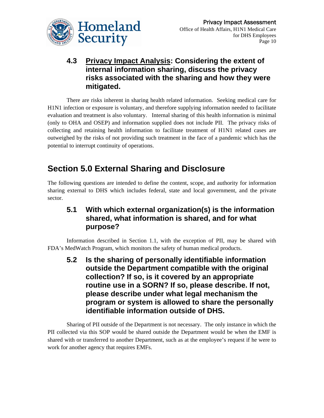

### **4.3 Privacy Impact Analysis: Considering the extent of internal information sharing, discuss the privacy risks associated with the sharing and how they were mitigated.**

There are risks inherent in sharing health related information. Seeking medical care for H1N1 infection or exposure is voluntary, and therefore supplying information needed to facilitate evaluation and treatment is also voluntary. Internal sharing of this health information is minimal (only to OHA and OSEP) and information supplied does not include PII. The privacy risks of collecting and retaining health information to facilitate treatment of H1N1 related cases are outweighed by the risks of not providing such treatment in the face of a pandemic which has the potential to interrupt continuity of operations.

### **Section 5.0 External Sharing and Disclosure**

The following questions are intended to define the content, scope, and authority for information sharing external to DHS which includes federal, state and local government, and the private sector.

#### **5.1 With which external organization(s) is the information shared, what information is shared, and for what purpose?**

Information described in Section 1.1, with the exception of PII, may be shared with FDA's MedWatch Program, which monitors the safety of human medical products.

**5.2 Is the sharing of personally identifiable information outside the Department compatible with the original collection? If so, is it covered by an appropriate routine use in a SORN? If so, please describe. If not, please describe under what legal mechanism the program or system is allowed to share the personally identifiable information outside of DHS.** 

Sharing of PII outside of the Department is not necessary. The only instance in which the PII collected via this SOP would be shared outside the Department would be when the EMF is shared with or transferred to another Department, such as at the employee's request if he were to work for another agency that requires EMFs.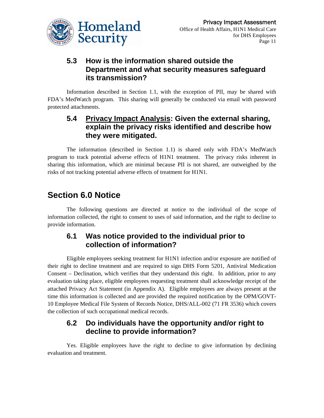

#### **5.3 How is the information shared outside the Department and what security measures safeguard its transmission?**

Information described in Section 1.1, with the exception of PII, may be shared with FDA's MedWatch program. This sharing will generally be conducted via email with password protected attachments.

#### **5.4 Privacy Impact Analysis: Given the external sharing, explain the privacy risks identified and describe how they were mitigated.**

The information (described in Section 1.1) is shared only with FDA's MedWatch program to track potential adverse effects of H1N1 treatment. The privacy risks inherent in sharing this information, which are minimal because PII is not shared, are outweighed by the risks of not tracking potential adverse effects of treatment for H1N1.

### **Section 6.0 Notice**

The following questions are directed at notice to the individual of the scope of information collected, the right to consent to uses of said information, and the right to decline to provide information.

#### **6.1 Was notice provided to the individual prior to collection of information?**

Eligible employees seeking treatment for H1N1 infection and/or exposure are notified of their right to decline treatment and are required to sign DHS Form 5201, Antiviral Medication Consent – Declination, which verifies that they understand this right. In addition, prior to any evaluation taking place, eligible employees requesting treatment shall acknowledge receipt of the attached Privacy Act Statement (in Appendix A). Eligible employees are always present at the time this information is collected and are provided the required notification by the OPM/GOVT-10 Employee Medical File System of Records Notice, DHS/ALL-002 (71 FR 3536) which covers the collection of such occupational medical records.

#### **6.2 Do individuals have the opportunity and/or right to decline to provide information?**

Yes. Eligible employees have the right to decline to give information by declining evaluation and treatment.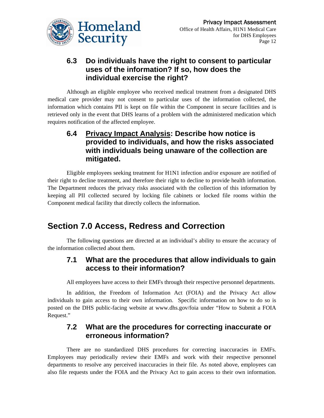

#### **6.3 Do individuals have the right to consent to particular uses of the information? If so, how does the individual exercise the right?**

Although an eligible employee who received medical treatment from a designated DHS medical care provider may not consent to particular uses of the information collected, the information which contains PII is kept on file within the Component in secure facilities and is retrieved only in the event that DHS learns of a problem with the administered medication which requires notification of the affected employee.

#### **6.4 Privacy Impact Analysis: Describe how notice is provided to individuals, and how the risks associated with individuals being unaware of the collection are mitigated.**

Eligible employees seeking treatment for H1N1 infection and/or exposure are notified of their right to decline treatment, and therefore their right to decline to provide health information. The Department reduces the privacy risks associated with the collection of this information by keeping all PII collected secured by locking file cabinets or locked file rooms within the Component medical facility that directly collects the information.

### **Section 7.0 Access, Redress and Correction**

The following questions are directed at an individual's ability to ensure the accuracy of the information collected about them.

#### **7.1 What are the procedures that allow individuals to gain access to their information?**

All employees have access to their EMFs through their respective personnel departments.

In addition, the Freedom of Information Act (FOIA) and the Privacy Act allow individuals to gain access to their own information. Specific information on how to do so is posted on the DHS public-facing website at www.dhs.gov/foia under "How to Submit a FOIA Request."

#### **7.2 What are the procedures for correcting inaccurate or erroneous information?**

There are no standardized DHS procedures for correcting inaccuracies in EMFs. Employees may periodically review their EMFs and work with their respective personnel departments to resolve any perceived inaccuracies in their file. As noted above, employees can also file requests under the FOIA and the Privacy Act to gain access to their own information.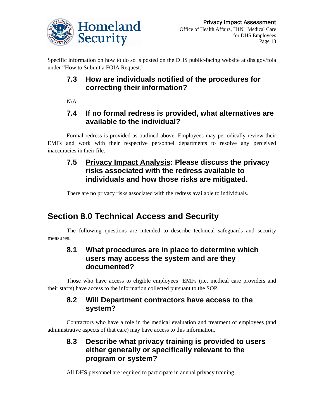

Specific information on how to do so is posted on the DHS public-facing website at dhs.gov/foia under "How to Submit a FOIA Request."

### **7.3 How are individuals notified of the procedures for correcting their information?**

 $N/A$ 

#### **7.4 If no formal redress is provided, what alternatives are available to the individual?**

Formal redress is provided as outlined above. Employees may periodically review their EMFs and work with their respective personnel departments to resolve any perceived inaccuracies in their file.

#### **7.5 Privacy Impact Analysis: Please discuss the privacy risks associated with the redress available to individuals and how those risks are mitigated.**

There are no privacy risks associated with the redress available to individuals.

## **Section 8.0 Technical Access and Security**

The following questions are intended to describe technical safeguards and security measures.

#### **8.1 What procedures are in place to determine which users may access the system and are they documented?**

Those who have access to eligible employees' EMFs (i.e, medical care providers and their staffs) have access to the information collected pursuant to the SOP.

#### **8.2 Will Department contractors have access to the system?**

Contractors who have a role in the medical evaluation and treatment of employees (and administrative aspects of that care) may have access to this information.

#### **8.3 Describe what privacy training is provided to users either generally or specifically relevant to the program or system?**

All DHS personnel are required to participate in annual privacy training.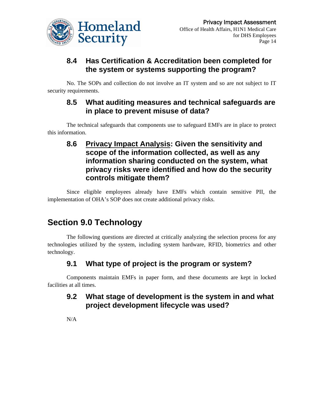

### **8.4 Has Certification & Accreditation been completed for the system or systems supporting the program?**

No. The SOPs and collection do not involve an IT system and so are not subject to IT security requirements.

#### **8.5 What auditing measures and technical safeguards are in place to prevent misuse of data?**

The technical safeguards that components use to safeguard EMFs are in place to protect this information.

#### **8.6 Privacy Impact Analysis: Given the sensitivity and scope of the information collected, as well as any information sharing conducted on the system, what privacy risks were identified and how do the security controls mitigate them?**

Since eligible employees already have EMFs which contain sensitive PII, the implementation of OHA's SOP does not create additional privacy risks.

### **Section 9.0 Technology**

The following questions are directed at critically analyzing the selection process for any technologies utilized by the system, including system hardware, RFID, biometrics and other technology.

### **9.1 What type of project is the program or system?**

Components maintain EMFs in paper form, and these documents are kept in locked facilities at all times.

#### **9.2 What stage of development is the system in and what project development lifecycle was used?**

N/A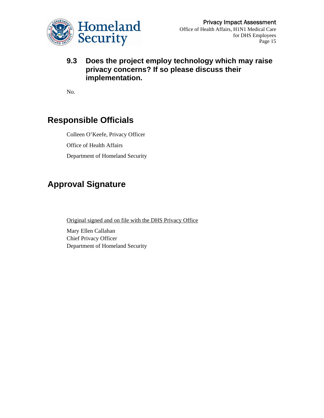

#### **9.3 Does the project employ technology which may raise privacy concerns? If so please discuss their implementation.**

No.

### **Responsible Officials**

Colleen O'Keefe, Privacy Officer Office of Health Affairs Department of Homeland Security

### **Approval Signature**

Original signed and on file with the DHS Privacy Office

Mary Ellen Callahan Chief Privacy Officer Department of Homeland Security